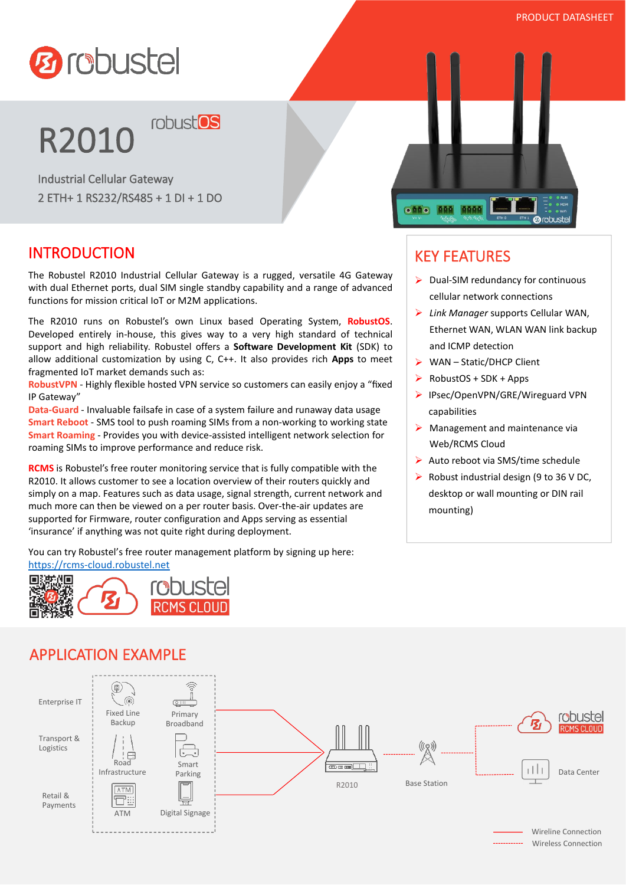

#### PRODUCT DATASHEET

# **R2010 robust<sup>os</sup>**

Industrial Cellular Gateway 2 ETH+ 1 RS232/RS485 + 1 DI + 1 DO

#### INTRODUCTION

The Robustel R2010 Industrial Cellular Gateway is a rugged, versatile 4G Gateway with dual Ethernet ports, dual SIM single standby capability and a range of advanced functions for mission critical IoT or M2M applications.

The R2010 runs on Robustel's own Linux based Operating System, **RobustOS**. Developed entirely in-house, this gives way to a very high standard of technical support and high reliability. Robustel offers a **Software Development Kit** (SDK) to allow additional customization byusing C, C++. It also provides rich **Apps** to meet fragmented IoT market demands such as:

**RobustVPN** - Highly flexible hosted VPN service so customers can easily enjoy a "fixed IP Gateway"

**Data-Guard** - Invaluable failsafe in case of a system failure and runaway data usage **Smart Reboot** - SMS tool to push roaming SIMs from a non-working to working state **Smart Roaming** - Provides you with device-assisted intelligent network selection for roaming SIMs to improve performance and reduce risk.

**RCMS** is Robustel's free router monitoring service that is fully compatible with the R2010. It allows customer to see a location overview of their routers quickly and simply on a map. Features such as data usage, signal strength, current network and much more can then be viewed on a per router basis. Over-the-air updates are supported for Firmware, router configuration and Apps serving as essential 'insurance' if anything was not quite right during deployment.

You can try Robustel's free router management platform by signing up here: <https://rcms-cloud.robustel.net>



#### APPLICATION EXAMPLE





## KEY FEATURES

- $\triangleright$  Dual-SIM redundancy for continuous cellular network connections
- *Link Manager* supports Cellular WAN, Ethernet WAN, WLAN WAN link backup and ICMP detection
- $\triangleright$  WAN Static/DHCP Client
- $\triangleright$  RobustOS + SDK + Apps
- ▶ IPsec/OpenVPN/GRE/Wireguard VPN capabilities
- $\triangleright$  Management and maintenance via Web/RCMS Cloud
- Auto reboot via SMS/time schedule
- $\triangleright$  Robust industrial design (9 to 36 V DC, desktop or wall mounting or DIN rail mounting)